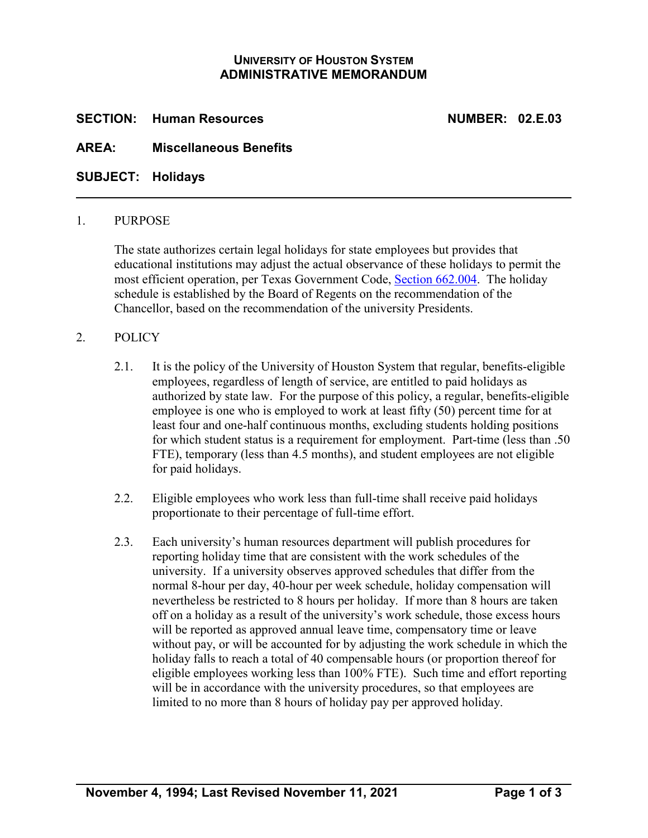# **UNIVERSITY OF HOUSTON SYSTEM ADMINISTRATIVE MEMORANDUM**

**SECTION: Human Resources NUMBER: 02.E.03**

# **AREA: Miscellaneous Benefits**

**SUBJECT: Holidays**

### 1. PURPOSE

The state authorizes certain legal holidays for state employees but provides that educational institutions may adjust the actual observance of these holidays to permit the most efficient operation, per Texas Government Code, [Section 662.004.](http://www.statutes.legis.state.tx.us/Docs/GV/htm/GV.662.htm#662.004) The holiday schedule is established by the Board of Regents on the recommendation of the Chancellor, based on the recommendation of the university Presidents.

## 2. POLICY

- 2.1. It is the policy of the University of Houston System that regular, benefits-eligible employees, regardless of length of service, are entitled to paid holidays as authorized by state law. For the purpose of this policy, a regular, benefits-eligible employee is one who is employed to work at least fifty (50) percent time for at least four and one-half continuous months, excluding students holding positions for which student status is a requirement for employment. Part-time (less than .50 FTE), temporary (less than 4.5 months), and student employees are not eligible for paid holidays.
- 2.2. Eligible employees who work less than full-time shall receive paid holidays proportionate to their percentage of full-time effort.
- 2.3. Each university's human resources department will publish procedures for reporting holiday time that are consistent with the work schedules of the university. If a university observes approved schedules that differ from the normal 8-hour per day, 40-hour per week schedule, holiday compensation will nevertheless be restricted to 8 hours per holiday. If more than 8 hours are taken off on a holiday as a result of the university's work schedule, those excess hours will be reported as approved annual leave time, compensatory time or leave without pay, or will be accounted for by adjusting the work schedule in which the holiday falls to reach a total of 40 compensable hours (or proportion thereof for eligible employees working less than 100% FTE). Such time and effort reporting will be in accordance with the university procedures, so that employees are limited to no more than 8 hours of holiday pay per approved holiday.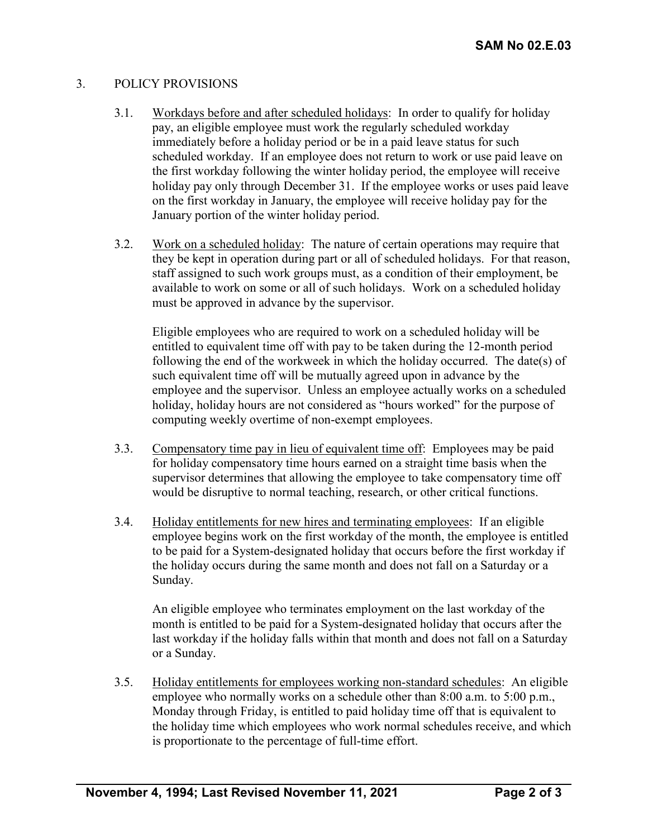# 3. POLICY PROVISIONS

- 3.1. Workdays before and after scheduled holidays: In order to qualify for holiday pay, an eligible employee must work the regularly scheduled workday immediately before a holiday period or be in a paid leave status for such scheduled workday. If an employee does not return to work or use paid leave on the first workday following the winter holiday period, the employee will receive holiday pay only through December 31. If the employee works or uses paid leave on the first workday in January, the employee will receive holiday pay for the January portion of the winter holiday period.
- 3.2. Work on a scheduled holiday: The nature of certain operations may require that they be kept in operation during part or all of scheduled holidays. For that reason, staff assigned to such work groups must, as a condition of their employment, be available to work on some or all of such holidays. Work on a scheduled holiday must be approved in advance by the supervisor.

Eligible employees who are required to work on a scheduled holiday will be entitled to equivalent time off with pay to be taken during the 12-month period following the end of the workweek in which the holiday occurred. The date(s) of such equivalent time off will be mutually agreed upon in advance by the employee and the supervisor. Unless an employee actually works on a scheduled holiday, holiday hours are not considered as "hours worked" for the purpose of computing weekly overtime of non-exempt employees.

- 3.3. Compensatory time pay in lieu of equivalent time off: Employees may be paid for holiday compensatory time hours earned on a straight time basis when the supervisor determines that allowing the employee to take compensatory time off would be disruptive to normal teaching, research, or other critical functions.
- 3.4. Holiday entitlements for new hires and terminating employees: If an eligible employee begins work on the first workday of the month, the employee is entitled to be paid for a System-designated holiday that occurs before the first workday if the holiday occurs during the same month and does not fall on a Saturday or a Sunday.

An eligible employee who terminates employment on the last workday of the month is entitled to be paid for a System-designated holiday that occurs after the last workday if the holiday falls within that month and does not fall on a Saturday or a Sunday.

3.5. Holiday entitlements for employees working non-standard schedules: An eligible employee who normally works on a schedule other than 8:00 a.m. to 5:00 p.m., Monday through Friday, is entitled to paid holiday time off that is equivalent to the holiday time which employees who work normal schedules receive, and which is proportionate to the percentage of full-time effort.